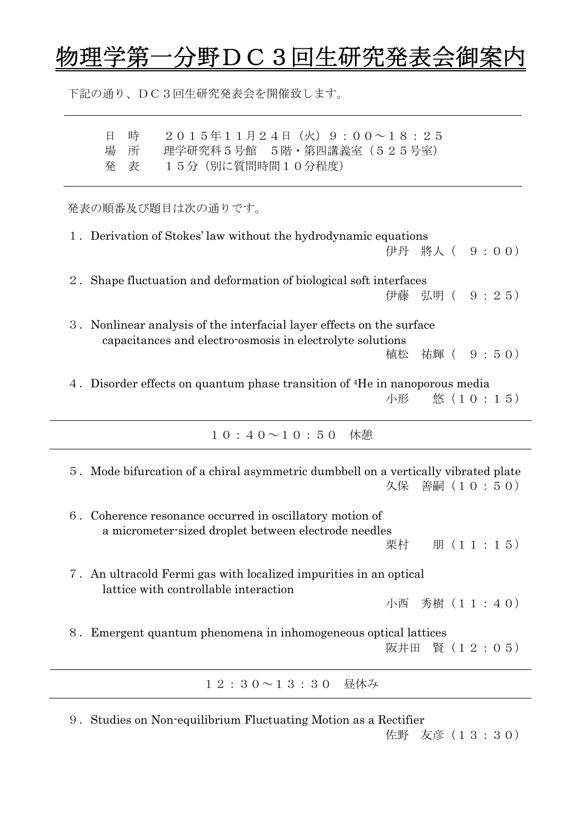## 5<u>理学第一分野DC3回生研究発表会御案内</u>

下記の通り、DC3回生研究発表会を開催致します。

| 日 時                              | 2015年11月24日(火)9:00~18:25     |
|----------------------------------|------------------------------|
|                                  | 場 所 理学研究科5号館 5階・第四講義室(525号室) |
| うちょう 発き うちおく かいこう じょうこう 発き表 いっかい | 15分(別に質問時間10分程度)             |

発表の順番及び題目は次の通りです。

| 1. Derivation of Stokes' law without the hydrodynamic equations                        |  |                 |  |  |  |  |  |
|----------------------------------------------------------------------------------------|--|-----------------|--|--|--|--|--|
|                                                                                        |  | 伊丹 將人 ( 9:00)   |  |  |  |  |  |
| Shape fluctuation and deformation of biological soft interfaces                        |  |                 |  |  |  |  |  |
|                                                                                        |  | 伊藤 弘明( 9 : 2 5) |  |  |  |  |  |
| 3. Nonlinear analysis of the interfacial layer effects on the surface                  |  |                 |  |  |  |  |  |
| capacitances and electro-osmosis in electrolyte solutions                              |  |                 |  |  |  |  |  |
|                                                                                        |  | 植松 祐輝 ( 9:50)   |  |  |  |  |  |
| 4. Disorder effects on quantum phase transition of <sup>4</sup> He in nanoporous media |  |                 |  |  |  |  |  |
|                                                                                        |  | 小形  悠(10:15)    |  |  |  |  |  |

10:40~10:50 休憩

| 5. Mode bifurcation of a chiral asymmetric dumbbell on a vertically vibrated plate<br>久保 善嗣 (10:50)                              |  |  |  |  |  |  |  |
|----------------------------------------------------------------------------------------------------------------------------------|--|--|--|--|--|--|--|
| 6. Coherence resonance occurred in oscillatory motion of<br>a micrometer-sized droplet between electrode needles<br>栗村 朋 (11:15) |  |  |  |  |  |  |  |
| 7. An ultracold Fermi gas with localized impurities in an optical<br>lattice with controllable interaction<br>小西 秀樹 (11:40)      |  |  |  |  |  |  |  |
| 8. Emergent quantum phenomena in inhomogeneous optical lattices<br>阪井田 賢 (12:05)                                                 |  |  |  |  |  |  |  |
| $1\ 2\ : 3\ 0 \sim 1\ 3\ : 3\ 0$ 昼休み                                                                                             |  |  |  |  |  |  |  |

9. Studies on Non-equilibrium Fluctuating Motion as a Rectifier

佐野 友彦(13:30)